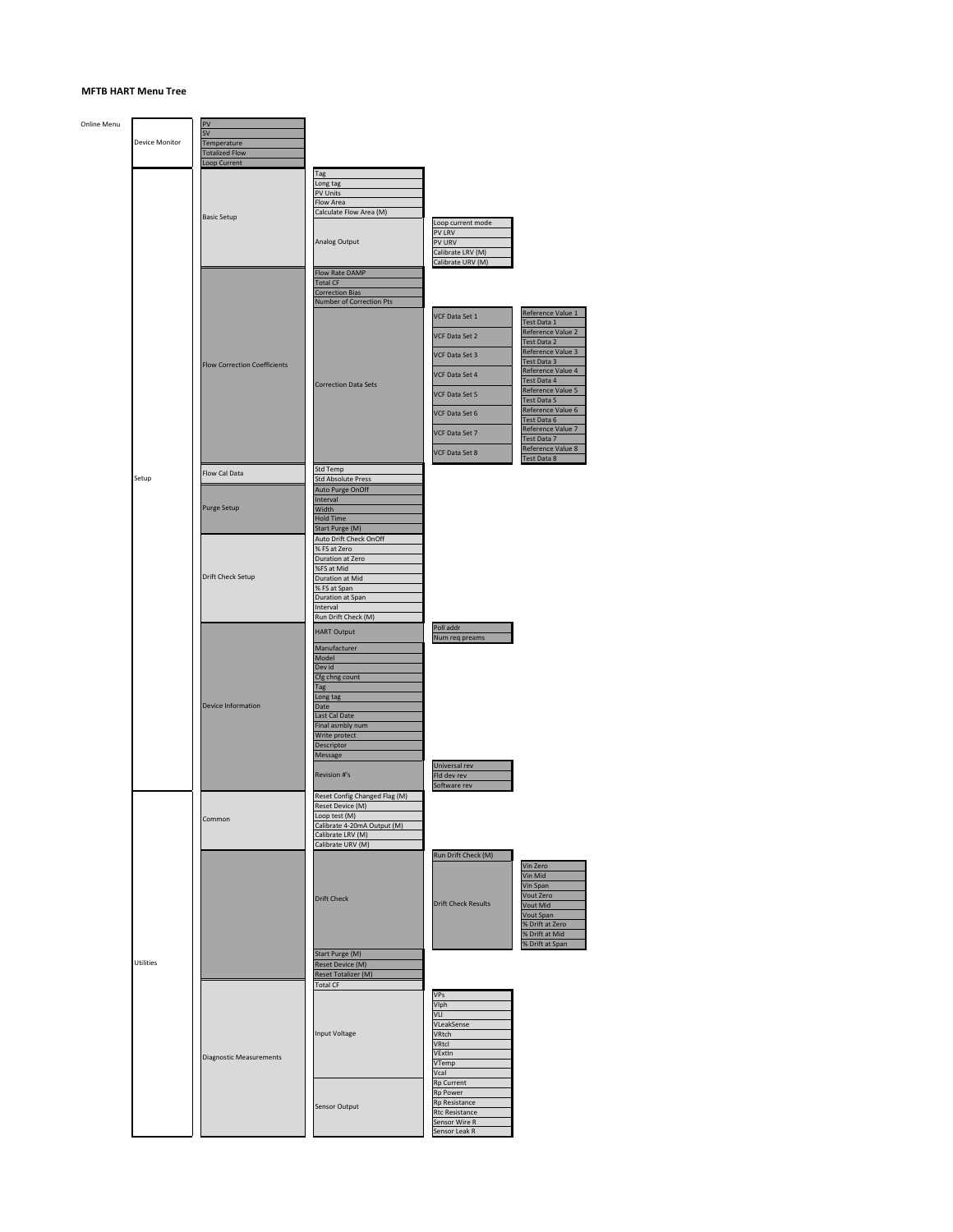## **MFTB HART Menu Tree**